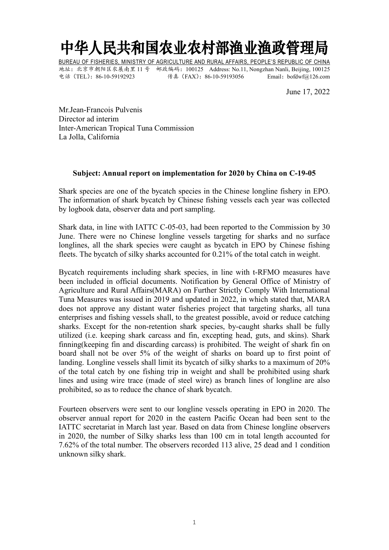## 中华人民共和国农业农村部渔业渔政管理局

BUREAU OF FISHERIES, MINISTRY OF AGRICULTURE AND RURAL AFFAIRS, PEOPLE'S REPUBLIC OF CHINA 地址:北京市朝阳区农展南里 11 号 邮政编码:100125 Address: No.11, Nongzhan Nanli, Beijing, 100125 电话(TEL):86-10-59192923 传真(FAX):86-10-59193056 Email:bofdwf@126.com

June 17, 2022

Mr.Jean-Francois Pulvenis Director ad interim Inter-American Tropical Tuna Commission La Jolla, California

## **Subject: Annual report on implementation for 2020 by China on C-19-05**

Shark species are one of the bycatch species in the Chinese longline fishery in EPO. The information of shark bycatch by Chinese fishing vessels each year was collected by logbook data, observer data and port sampling.

Shark data, in line with IATTC C-05-03, had been reported to the Commission by 30 June. There were no Chinese longline vessels targeting for sharks and no surface longlines, all the shark species were caught as bycatch in EPO by Chinese fishing fleets. The bycatch of silky sharks accounted for 0.21% of the total catch in weight.

Bycatch requirements including shark species, in line with t-RFMO measures have been included in official documents. Notification by General Office of Ministry of Agriculture and Rural Affairs(MARA) on Further Strictly Comply With International Tuna Measures was issued in 2019 and updated in 2022, in which stated that, MARA does not approve any distant water fisheries project that targeting sharks, all tuna enterprises and fishing vessels shall, to the greatest possible, avoid or reduce catching sharks. Except for the non-retention shark species, by-caught sharks shall be fully utilized (i.e. keeping shark carcass and fin, excepting head, guts, and skins). Shark finning(keeping fin and discarding carcass) is prohibited. The weight of shark fin on board shall not be over 5% of the weight of sharks on board up to first point of landing. Longline vessels shall limit its bycatch of silky sharks to a maximum of 20% of the total catch by one fishing trip in weight and shall be prohibited using shark lines and using wire trace (made of steel wire) as branch lines of longline are also prohibited, so as to reduce the chance of shark bycatch.

Fourteen observers were sent to our longline vessels operating in EPO in 2020. The observer annual report for 2020 in the eastern Pacific Ocean had been sent to the IATTC secretariat in March last year. Based on data from Chinese longline observers in 2020, the number of Silky sharks less than 100 cm in total length accounted for 7.62% of the total number. The observers recorded 113 alive, 25 dead and 1 condition unknown silky shark.